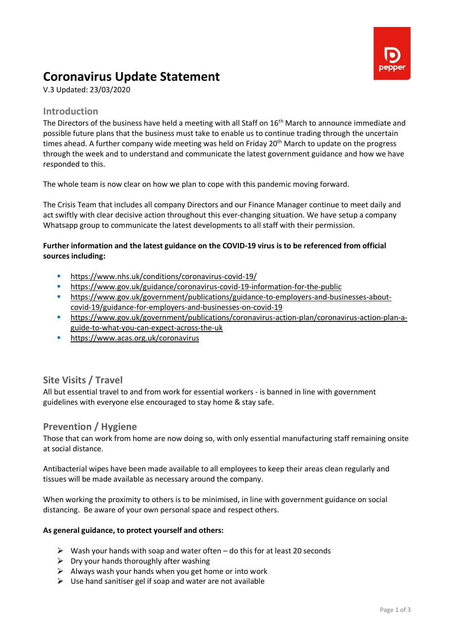

# **Coronavirus Update Statement**

V.3 Updated: 23/03/2020

## **Introduction**

The Directors of the business have held a meeting with all Staff on 16<sup>th</sup> March to announce immediate and possible future plans that the business must take to enable us to continue trading through the uncertain times ahead. A further company wide meeting was held on Friday 20<sup>th</sup> March to update on the progress through the week and to understand and communicate the latest government guidance and how we have responded to this.

The whole team is now clear on how we plan to cope with this pandemic moving forward.

The Crisis Team that includes all company Directors and our Finance Manager continue to meet daily and act swiftly with clear decisive action throughout this ever-changing situation. We have setup a company Whatsapp group to communicate the latest developments to all staff with their permission.

#### **Further information and the latest guidance on the COVID-19 virus is to be referenced from official sources including:**

- <https://www.nhs.uk/conditions/coronavirus-covid-19/>
- <https://www.gov.uk/guidance/coronavirus-covid-19-information-for-the-public>
- [https://www.gov.uk/government/publications/guidance-to-employers-and-businesses-about](https://www.gov.uk/government/publications/guidance-to-employers-and-businesses-about-covid-19/guidance-for-employers-and-businesses-on-covid-19)[covid-19/guidance-for-employers-and-businesses-on-covid-19](https://www.gov.uk/government/publications/guidance-to-employers-and-businesses-about-covid-19/guidance-for-employers-and-businesses-on-covid-19)
- [https://www.gov.uk/government/publications/coronavirus-action-plan/coronavirus-action-plan-a](https://www.gov.uk/government/publications/coronavirus-action-plan/coronavirus-action-plan-a-guide-to-what-you-can-expect-across-the-uk)[guide-to-what-you-can-expect-across-the-uk](https://www.gov.uk/government/publications/coronavirus-action-plan/coronavirus-action-plan-a-guide-to-what-you-can-expect-across-the-uk)
- <https://www.acas.org.uk/coronavirus>

# **Site Visits / Travel**

All but essential travel to and from work for essential workers - is banned in line with government guidelines with everyone else encouraged to stay home & stay safe.

### **Prevention / Hygiene**

Those that can work from home are now doing so, with only essential manufacturing staff remaining onsite at social distance.

Antibacterial wipes have been made available to all employees to keep their areas clean regularly and tissues will be made available as necessary around the company.

When working the proximity to others is to be minimised, in line with government guidance on social distancing. Be aware of your own personal space and respect others.

#### **As general guidance, to protect yourself and others:**

- $\triangleright$  Wash your hands with soap and water often do this for at least 20 seconds
- $\triangleright$  Dry your hands thoroughly after washing
- $\triangleright$  Always wash your hands when you get home or into work
- $\triangleright$  Use hand sanitiser gel if soap and water are not available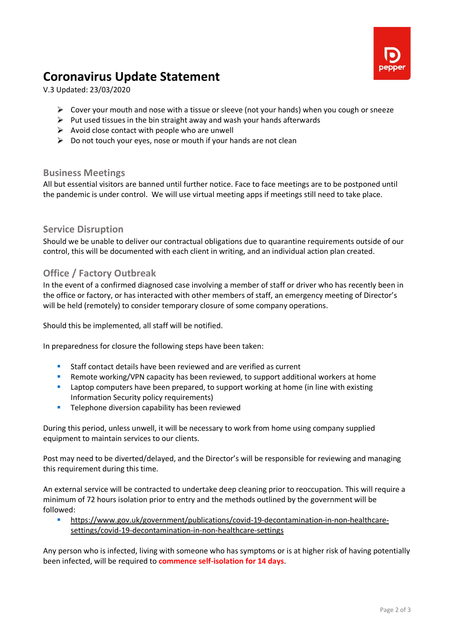

# **Coronavirus Update Statement**

V.3 Updated: 23/03/2020

- $\triangleright$  Cover your mouth and nose with a tissue or sleeve (not your hands) when you cough or sneeze
- ➢ Put used tissues in the bin straight away and wash your hands afterwards
- $\triangleright$  Avoid close contact with people who are unwell
- $\triangleright$  Do not touch your eves, nose or mouth if your hands are not clean

#### **Business Meetings**

All but essential visitors are banned until further notice. Face to face meetings are to be postponed until the pandemic is under control. We will use virtual meeting apps if meetings still need to take place.

### **Service Disruption**

Should we be unable to deliver our contractual obligations due to quarantine requirements outside of our control, this will be documented with each client in writing, and an individual action plan created.

## **Office / Factory Outbreak**

In the event of a confirmed diagnosed case involving a member of staff or driver who has recently been in the office or factory, or has interacted with other members of staff, an emergency meeting of Director's will be held (remotely) to consider temporary closure of some company operations.

Should this be implemented, all staff will be notified.

In preparedness for closure the following steps have been taken:

- Staff contact details have been reviewed and are verified as current
- **E** Remote working/VPN capacity has been reviewed, to support additional workers at home
- **•** Laptop computers have been prepared, to support working at home (in line with existing Information Security policy requirements)
- **EXECTE:** Telephone diversion capability has been reviewed

During this period, unless unwell, it will be necessary to work from home using company supplied equipment to maintain services to our clients.

Post may need to be diverted/delayed, and the Director's will be responsible for reviewing and managing this requirement during this time.

An external service will be contracted to undertake deep cleaning prior to reoccupation. This will require a minimum of 72 hours isolation prior to entry and the methods outlined by the government will be followed:

[https://www.gov.uk/government/publications/covid-19-decontamination-in-non-healthcare](https://www.gov.uk/government/publications/covid-19-decontamination-in-non-healthcare-settings/covid-19-decontamination-in-non-healthcare-settings)[settings/covid-19-decontamination-in-non-healthcare-settings](https://www.gov.uk/government/publications/covid-19-decontamination-in-non-healthcare-settings/covid-19-decontamination-in-non-healthcare-settings)

Any person who is infected, living with someone who has symptoms or is at higher risk of having potentially been infected, will be required to **commence self-isolation for 14 days**.